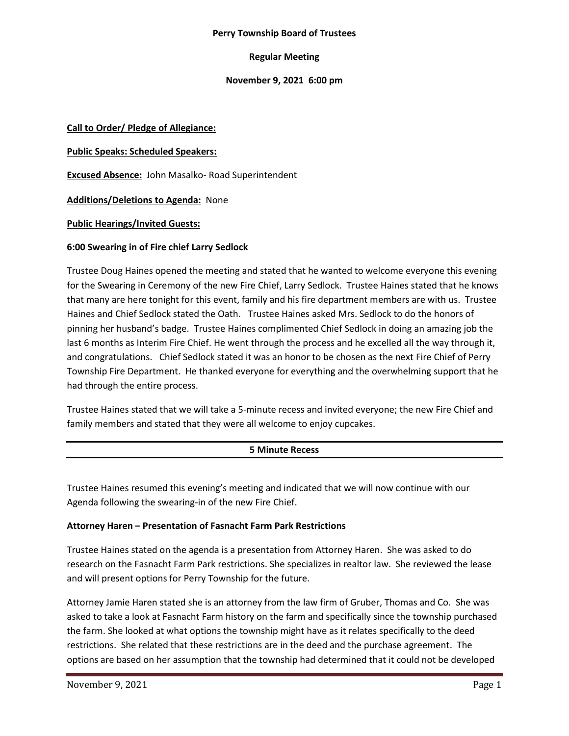#### **Perry Township Board of Trustees**

### **Regular Meeting**

### **November 9, 2021 6:00 pm**

#### **Call to Order/ Pledge of Allegiance:**

#### **Public Speaks: Scheduled Speakers:**

**Excused Absence:** John Masalko- Road Superintendent

**Additions/Deletions to Agenda:** None

#### **Public Hearings/Invited Guests:**

#### **6:00 Swearing in of Fire chief Larry Sedlock**

Trustee Doug Haines opened the meeting and stated that he wanted to welcome everyone this evening for the Swearing in Ceremony of the new Fire Chief, Larry Sedlock. Trustee Haines stated that he knows that many are here tonight for this event, family and his fire department members are with us. Trustee Haines and Chief Sedlock stated the Oath. Trustee Haines asked Mrs. Sedlock to do the honors of pinning her husband's badge. Trustee Haines complimented Chief Sedlock in doing an amazing job the last 6 months as Interim Fire Chief. He went through the process and he excelled all the way through it, and congratulations. Chief Sedlock stated it was an honor to be chosen as the next Fire Chief of Perry Township Fire Department. He thanked everyone for everything and the overwhelming support that he had through the entire process.

Trustee Haines stated that we will take a 5-minute recess and invited everyone; the new Fire Chief and family members and stated that they were all welcome to enjoy cupcakes.

### **5 Minute Recess**

Trustee Haines resumed this evening's meeting and indicated that we will now continue with our Agenda following the swearing-in of the new Fire Chief.

### **Attorney Haren – Presentation of Fasnacht Farm Park Restrictions**

Trustee Haines stated on the agenda is a presentation from Attorney Haren. She was asked to do research on the Fasnacht Farm Park restrictions. She specializes in realtor law. She reviewed the lease and will present options for Perry Township for the future.

Attorney Jamie Haren stated she is an attorney from the law firm of Gruber, Thomas and Co. She was asked to take a look at Fasnacht Farm history on the farm and specifically since the township purchased the farm. She looked at what options the township might have as it relates specifically to the deed restrictions. She related that these restrictions are in the deed and the purchase agreement. The options are based on her assumption that the township had determined that it could not be developed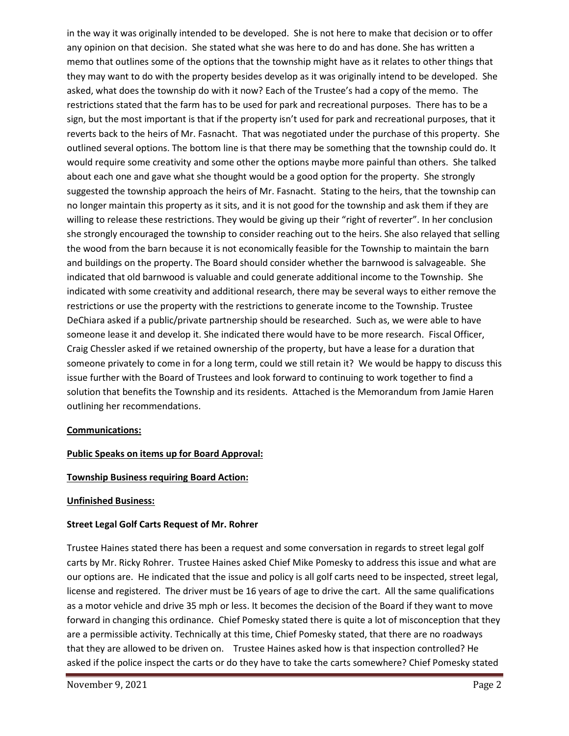in the way it was originally intended to be developed. She is not here to make that decision or to offer any opinion on that decision. She stated what she was here to do and has done. She has written a memo that outlines some of the options that the township might have as it relates to other things that they may want to do with the property besides develop as it was originally intend to be developed. She asked, what does the township do with it now? Each of the Trustee's had a copy of the memo. The restrictions stated that the farm has to be used for park and recreational purposes. There has to be a sign, but the most important is that if the property isn't used for park and recreational purposes, that it reverts back to the heirs of Mr. Fasnacht. That was negotiated under the purchase of this property. She outlined several options. The bottom line is that there may be something that the township could do. It would require some creativity and some other the options maybe more painful than others. She talked about each one and gave what she thought would be a good option for the property. She strongly suggested the township approach the heirs of Mr. Fasnacht. Stating to the heirs, that the township can no longer maintain this property as it sits, and it is not good for the township and ask them if they are willing to release these restrictions. They would be giving up their "right of reverter". In her conclusion she strongly encouraged the township to consider reaching out to the heirs. She also relayed that selling the wood from the barn because it is not economically feasible for the Township to maintain the barn and buildings on the property. The Board should consider whether the barnwood is salvageable. She indicated that old barnwood is valuable and could generate additional income to the Township. She indicated with some creativity and additional research, there may be several ways to either remove the restrictions or use the property with the restrictions to generate income to the Township. Trustee DeChiara asked if a public/private partnership should be researched. Such as, we were able to have someone lease it and develop it. She indicated there would have to be more research. Fiscal Officer, Craig Chessler asked if we retained ownership of the property, but have a lease for a duration that someone privately to come in for a long term, could we still retain it? We would be happy to discuss this issue further with the Board of Trustees and look forward to continuing to work together to find a solution that benefits the Township and its residents. Attached is the Memorandum from Jamie Haren outlining her recommendations.

### **Communications:**

# **Public Speaks on items up for Board Approval:**

### **Township Business requiring Board Action:**

### **Unfinished Business:**

### **Street Legal Golf Carts Request of Mr. Rohrer**

Trustee Haines stated there has been a request and some conversation in regards to street legal golf carts by Mr. Ricky Rohrer. Trustee Haines asked Chief Mike Pomesky to address this issue and what are our options are. He indicated that the issue and policy is all golf carts need to be inspected, street legal, license and registered. The driver must be 16 years of age to drive the cart. All the same qualifications as a motor vehicle and drive 35 mph or less. It becomes the decision of the Board if they want to move forward in changing this ordinance. Chief Pomesky stated there is quite a lot of misconception that they are a permissible activity. Technically at this time, Chief Pomesky stated, that there are no roadways that they are allowed to be driven on. Trustee Haines asked how is that inspection controlled? He asked if the police inspect the carts or do they have to take the carts somewhere? Chief Pomesky stated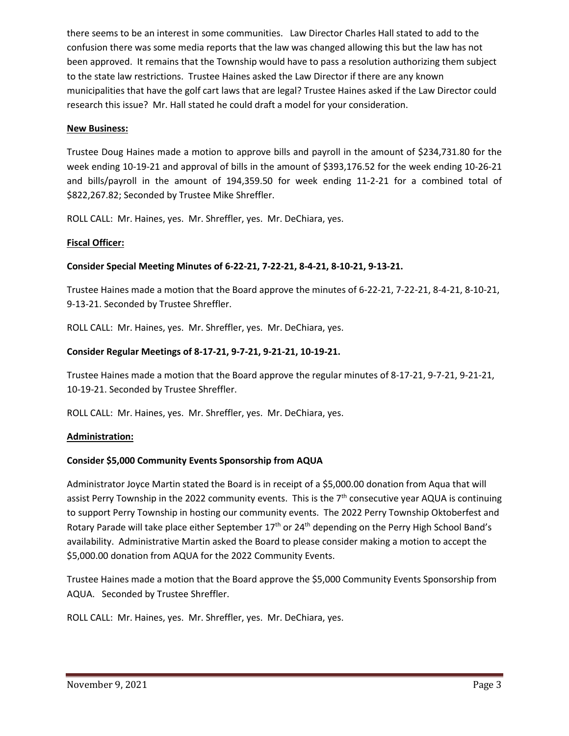there seems to be an interest in some communities. Law Director Charles Hall stated to add to the confusion there was some media reports that the law was changed allowing this but the law has not been approved. It remains that the Township would have to pass a resolution authorizing them subject to the state law restrictions. Trustee Haines asked the Law Director if there are any known municipalities that have the golf cart laws that are legal? Trustee Haines asked if the Law Director could research this issue? Mr. Hall stated he could draft a model for your consideration.

### **New Business:**

Trustee Doug Haines made a motion to approve bills and payroll in the amount of \$234,731.80 for the week ending 10-19-21 and approval of bills in the amount of \$393,176.52 for the week ending 10-26-21 and bills/payroll in the amount of 194,359.50 for week ending 11-2-21 for a combined total of \$822,267.82; Seconded by Trustee Mike Shreffler.

ROLL CALL: Mr. Haines, yes. Mr. Shreffler, yes. Mr. DeChiara, yes.

# **Fiscal Officer:**

# **Consider Special Meeting Minutes of 6-22-21, 7-22-21, 8-4-21, 8-10-21, 9-13-21.**

Trustee Haines made a motion that the Board approve the minutes of 6-22-21, 7-22-21, 8-4-21, 8-10-21, 9-13-21. Seconded by Trustee Shreffler.

ROLL CALL: Mr. Haines, yes. Mr. Shreffler, yes. Mr. DeChiara, yes.

# **Consider Regular Meetings of 8-17-21, 9-7-21, 9-21-21, 10-19-21.**

Trustee Haines made a motion that the Board approve the regular minutes of 8-17-21, 9-7-21, 9-21-21, 10-19-21. Seconded by Trustee Shreffler.

ROLL CALL: Mr. Haines, yes. Mr. Shreffler, yes. Mr. DeChiara, yes.

### **Administration:**

### **Consider \$5,000 Community Events Sponsorship from AQUA**

Administrator Joyce Martin stated the Board is in receipt of a \$5,000.00 donation from Aqua that will assist Perry Township in the 2022 community events. This is the  $7<sup>th</sup>$  consecutive year AQUA is continuing to support Perry Township in hosting our community events. The 2022 Perry Township Oktoberfest and Rotary Parade will take place either September 17<sup>th</sup> or 24<sup>th</sup> depending on the Perry High School Band's availability. Administrative Martin asked the Board to please consider making a motion to accept the \$5,000.00 donation from AQUA for the 2022 Community Events.

Trustee Haines made a motion that the Board approve the \$5,000 Community Events Sponsorship from AQUA. Seconded by Trustee Shreffler.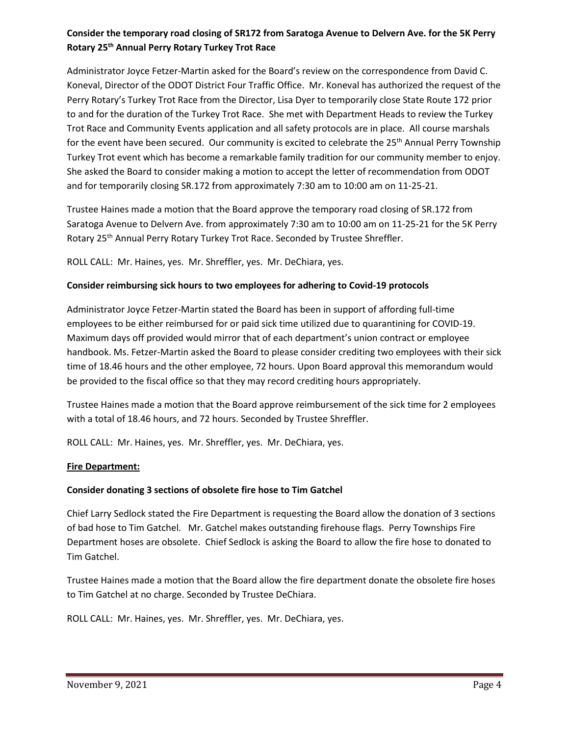# **Consider the temporary road closing of SR172 from Saratoga Avenue to Delvern Ave. for the 5K Perry Rotary 25th Annual Perry Rotary Turkey Trot Race**

Administrator Joyce Fetzer-Martin asked for the Board's review on the correspondence from David C. Koneval, Director of the ODOT District Four Traffic Office. Mr. Koneval has authorized the request of the Perry Rotary's Turkey Trot Race from the Director, Lisa Dyer to temporarily close State Route 172 prior to and for the duration of the Turkey Trot Race. She met with Department Heads to review the Turkey Trot Race and Community Events application and all safety protocols are in place. All course marshals for the event have been secured. Our community is excited to celebrate the 25<sup>th</sup> Annual Perry Township Turkey Trot event which has become a remarkable family tradition for our community member to enjoy. She asked the Board to consider making a motion to accept the letter of recommendation from ODOT and for temporarily closing SR.172 from approximately 7:30 am to 10:00 am on 11-25-21.

Trustee Haines made a motion that the Board approve the temporary road closing of SR.172 from Saratoga Avenue to Delvern Ave. from approximately 7:30 am to 10:00 am on 11-25-21 for the 5K Perry Rotary 25<sup>th</sup> Annual Perry Rotary Turkey Trot Race. Seconded by Trustee Shreffler.

ROLL CALL: Mr. Haines, yes. Mr. Shreffler, yes. Mr. DeChiara, yes.

# **Consider reimbursing sick hours to two employees for adhering to Covid-19 protocols**

Administrator Joyce Fetzer-Martin stated the Board has been in support of affording full-time employees to be either reimbursed for or paid sick time utilized due to quarantining for COVID-19. Maximum days off provided would mirror that of each department's union contract or employee handbook. Ms. Fetzer-Martin asked the Board to please consider crediting two employees with their sick time of 18.46 hours and the other employee, 72 hours. Upon Board approval this memorandum would be provided to the fiscal office so that they may record crediting hours appropriately.

Trustee Haines made a motion that the Board approve reimbursement of the sick time for 2 employees with a total of 18.46 hours, and 72 hours. Seconded by Trustee Shreffler.

ROLL CALL: Mr. Haines, yes. Mr. Shreffler, yes. Mr. DeChiara, yes.

### **Fire Department:**

### **Consider donating 3 sections of obsolete fire hose to Tim Gatchel**

Chief Larry Sedlock stated the Fire Department is requesting the Board allow the donation of 3 sections of bad hose to Tim Gatchel. Mr. Gatchel makes outstanding firehouse flags. Perry Townships Fire Department hoses are obsolete. Chief Sedlock is asking the Board to allow the fire hose to donated to Tim Gatchel.

Trustee Haines made a motion that the Board allow the fire department donate the obsolete fire hoses to Tim Gatchel at no charge. Seconded by Trustee DeChiara.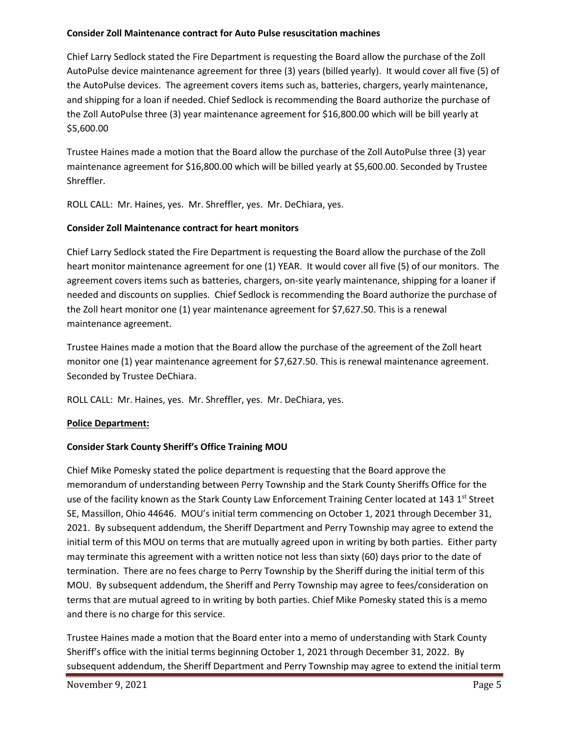### **Consider Zoll Maintenance contract for Auto Pulse resuscitation machines**

Chief Larry Sedlock stated the Fire Department is requesting the Board allow the purchase of the Zoll AutoPulse device maintenance agreement for three (3) years (billed yearly). It would cover all five (5) of the AutoPulse devices. The agreement covers items such as, batteries, chargers, yearly maintenance, and shipping for a loan if needed. Chief Sedlock is recommending the Board authorize the purchase of the Zoll AutoPulse three (3) year maintenance agreement for \$16,800.00 which will be bill yearly at \$5,600.00

Trustee Haines made a motion that the Board allow the purchase of the Zoll AutoPulse three (3) year maintenance agreement for \$16,800.00 which will be billed yearly at \$5,600.00. Seconded by Trustee Shreffler.

ROLL CALL: Mr. Haines, yes. Mr. Shreffler, yes. Mr. DeChiara, yes.

# **Consider Zoll Maintenance contract for heart monitors**

Chief Larry Sedlock stated the Fire Department is requesting the Board allow the purchase of the Zoll heart monitor maintenance agreement for one (1) YEAR. It would cover all five (5) of our monitors. The agreement covers items such as batteries, chargers, on-site yearly maintenance, shipping for a loaner if needed and discounts on supplies. Chief Sedlock is recommending the Board authorize the purchase of the Zoll heart monitor one (1) year maintenance agreement for \$7,627.50. This is a renewal maintenance agreement.

Trustee Haines made a motion that the Board allow the purchase of the agreement of the Zoll heart monitor one (1) year maintenance agreement for \$7,627.50. This is renewal maintenance agreement. Seconded by Trustee DeChiara.

ROLL CALL: Mr. Haines, yes. Mr. Shreffler, yes. Mr. DeChiara, yes.

# **Police Department:**

# **Consider Stark County Sheriff's Office Training MOU**

Chief Mike Pomesky stated the police department is requesting that the Board approve the memorandum of understanding between Perry Township and the Stark County Sheriffs Office for the use of the facility known as the Stark County Law Enforcement Training Center located at 143 1<sup>st</sup> Street SE, Massillon, Ohio 44646. MOU's initial term commencing on October 1, 2021 through December 31, 2021. By subsequent addendum, the Sheriff Department and Perry Township may agree to extend the initial term of this MOU on terms that are mutually agreed upon in writing by both parties. Either party may terminate this agreement with a written notice not less than sixty (60) days prior to the date of termination. There are no fees charge to Perry Township by the Sheriff during the initial term of this MOU. By subsequent addendum, the Sheriff and Perry Township may agree to fees/consideration on terms that are mutual agreed to in writing by both parties. Chief Mike Pomesky stated this is a memo and there is no charge for this service.

Trustee Haines made a motion that the Board enter into a memo of understanding with Stark County Sheriff's office with the initial terms beginning October 1, 2021 through December 31, 2022. By subsequent addendum, the Sheriff Department and Perry Township may agree to extend the initial term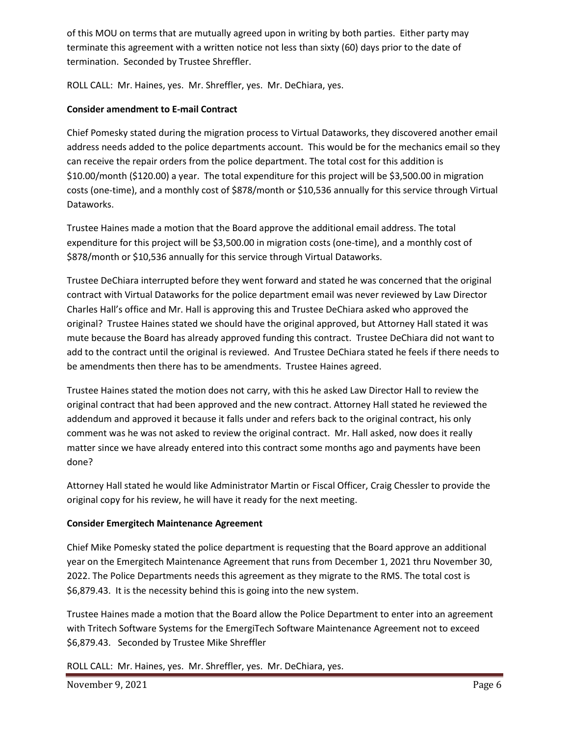of this MOU on terms that are mutually agreed upon in writing by both parties. Either party may terminate this agreement with a written notice not less than sixty (60) days prior to the date of termination. Seconded by Trustee Shreffler.

ROLL CALL: Mr. Haines, yes. Mr. Shreffler, yes. Mr. DeChiara, yes.

# **Consider amendment to E-mail Contract**

Chief Pomesky stated during the migration process to Virtual Dataworks, they discovered another email address needs added to the police departments account. This would be for the mechanics email so they can receive the repair orders from the police department. The total cost for this addition is \$10.00/month (\$120.00) a year. The total expenditure for this project will be \$3,500.00 in migration costs (one-time), and a monthly cost of \$878/month or \$10,536 annually for this service through Virtual Dataworks.

Trustee Haines made a motion that the Board approve the additional email address. The total expenditure for this project will be \$3,500.00 in migration costs (one-time), and a monthly cost of \$878/month or \$10,536 annually for this service through Virtual Dataworks.

Trustee DeChiara interrupted before they went forward and stated he was concerned that the original contract with Virtual Dataworks for the police department email was never reviewed by Law Director Charles Hall's office and Mr. Hall is approving this and Trustee DeChiara asked who approved the original? Trustee Haines stated we should have the original approved, but Attorney Hall stated it was mute because the Board has already approved funding this contract. Trustee DeChiara did not want to add to the contract until the original is reviewed. And Trustee DeChiara stated he feels if there needs to be amendments then there has to be amendments. Trustee Haines agreed.

Trustee Haines stated the motion does not carry, with this he asked Law Director Hall to review the original contract that had been approved and the new contract. Attorney Hall stated he reviewed the addendum and approved it because it falls under and refers back to the original contract, his only comment was he was not asked to review the original contract. Mr. Hall asked, now does it really matter since we have already entered into this contract some months ago and payments have been done?

Attorney Hall stated he would like Administrator Martin or Fiscal Officer, Craig Chessler to provide the original copy for his review, he will have it ready for the next meeting.

# **Consider Emergitech Maintenance Agreement**

Chief Mike Pomesky stated the police department is requesting that the Board approve an additional year on the Emergitech Maintenance Agreement that runs from December 1, 2021 thru November 30, 2022. The Police Departments needs this agreement as they migrate to the RMS. The total cost is \$6,879.43. It is the necessity behind this is going into the new system.

Trustee Haines made a motion that the Board allow the Police Department to enter into an agreement with Tritech Software Systems for the EmergiTech Software Maintenance Agreement not to exceed \$6,879.43. Seconded by Trustee Mike Shreffler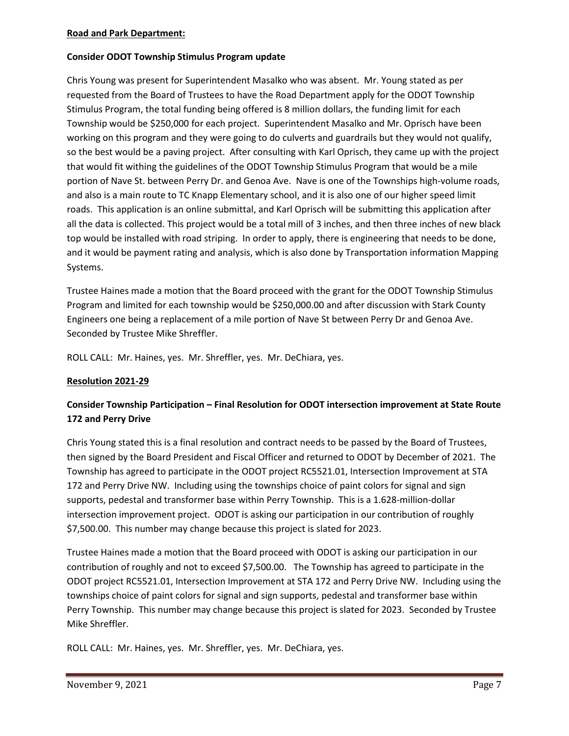### **Road and Park Department:**

# **Consider ODOT Township Stimulus Program update**

Chris Young was present for Superintendent Masalko who was absent. Mr. Young stated as per requested from the Board of Trustees to have the Road Department apply for the ODOT Township Stimulus Program, the total funding being offered is 8 million dollars, the funding limit for each Township would be \$250,000 for each project. Superintendent Masalko and Mr. Oprisch have been working on this program and they were going to do culverts and guardrails but they would not qualify, so the best would be a paving project. After consulting with Karl Oprisch, they came up with the project that would fit withing the guidelines of the ODOT Township Stimulus Program that would be a mile portion of Nave St. between Perry Dr. and Genoa Ave. Nave is one of the Townships high-volume roads, and also is a main route to TC Knapp Elementary school, and it is also one of our higher speed limit roads. This application is an online submittal, and Karl Oprisch will be submitting this application after all the data is collected. This project would be a total mill of 3 inches, and then three inches of new black top would be installed with road striping. In order to apply, there is engineering that needs to be done, and it would be payment rating and analysis, which is also done by Transportation information Mapping Systems.

Trustee Haines made a motion that the Board proceed with the grant for the ODOT Township Stimulus Program and limited for each township would be \$250,000.00 and after discussion with Stark County Engineers one being a replacement of a mile portion of Nave St between Perry Dr and Genoa Ave. Seconded by Trustee Mike Shreffler.

ROLL CALL: Mr. Haines, yes. Mr. Shreffler, yes. Mr. DeChiara, yes.

### **Resolution 2021-29**

# **Consider Township Participation – Final Resolution for ODOT intersection improvement at State Route 172 and Perry Drive**

Chris Young stated this is a final resolution and contract needs to be passed by the Board of Trustees, then signed by the Board President and Fiscal Officer and returned to ODOT by December of 2021. The Township has agreed to participate in the ODOT project RC5521.01, Intersection Improvement at STA 172 and Perry Drive NW. Including using the townships choice of paint colors for signal and sign supports, pedestal and transformer base within Perry Township. This is a 1.628-million-dollar intersection improvement project. ODOT is asking our participation in our contribution of roughly \$7,500.00. This number may change because this project is slated for 2023.

Trustee Haines made a motion that the Board proceed with ODOT is asking our participation in our contribution of roughly and not to exceed \$7,500.00. The Township has agreed to participate in the ODOT project RC5521.01, Intersection Improvement at STA 172 and Perry Drive NW. Including using the townships choice of paint colors for signal and sign supports, pedestal and transformer base within Perry Township. This number may change because this project is slated for 2023. Seconded by Trustee Mike Shreffler.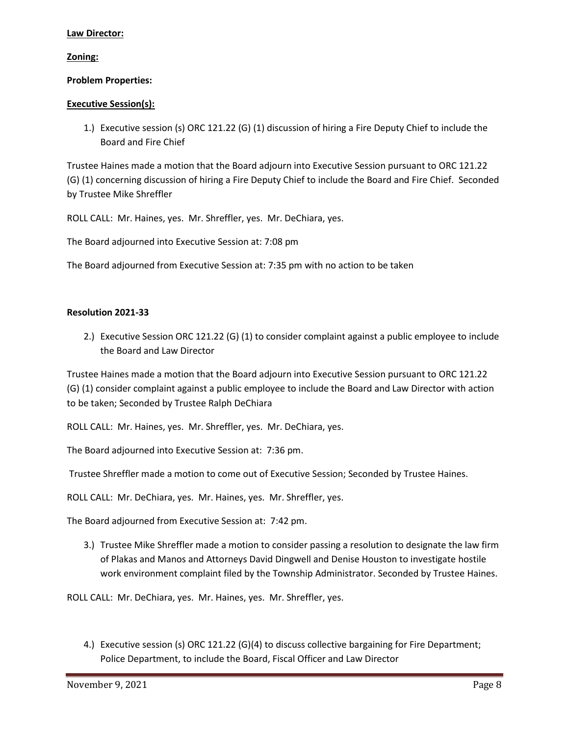### **Law Director:**

### **Zoning:**

#### **Problem Properties:**

#### **Executive Session(s):**

1.) Executive session (s) ORC 121.22 (G) (1) discussion of hiring a Fire Deputy Chief to include the Board and Fire Chief

Trustee Haines made a motion that the Board adjourn into Executive Session pursuant to ORC 121.22 (G) (1) concerning discussion of hiring a Fire Deputy Chief to include the Board and Fire Chief. Seconded by Trustee Mike Shreffler

ROLL CALL: Mr. Haines, yes. Mr. Shreffler, yes. Mr. DeChiara, yes.

The Board adjourned into Executive Session at: 7:08 pm

The Board adjourned from Executive Session at: 7:35 pm with no action to be taken

#### **Resolution 2021-33**

2.) Executive Session ORC 121.22 (G) (1) to consider complaint against a public employee to include the Board and Law Director

Trustee Haines made a motion that the Board adjourn into Executive Session pursuant to ORC 121.22 (G) (1) consider complaint against a public employee to include the Board and Law Director with action to be taken; Seconded by Trustee Ralph DeChiara

ROLL CALL: Mr. Haines, yes. Mr. Shreffler, yes. Mr. DeChiara, yes.

The Board adjourned into Executive Session at: 7:36 pm.

Trustee Shreffler made a motion to come out of Executive Session; Seconded by Trustee Haines.

ROLL CALL: Mr. DeChiara, yes. Mr. Haines, yes. Mr. Shreffler, yes.

The Board adjourned from Executive Session at: 7:42 pm.

3.) Trustee Mike Shreffler made a motion to consider passing a resolution to designate the law firm of Plakas and Manos and Attorneys David Dingwell and Denise Houston to investigate hostile work environment complaint filed by the Township Administrator. Seconded by Trustee Haines.

ROLL CALL: Mr. DeChiara, yes. Mr. Haines, yes. Mr. Shreffler, yes.

4.) Executive session (s) ORC 121.22 (G)(4) to discuss collective bargaining for Fire Department; Police Department, to include the Board, Fiscal Officer and Law Director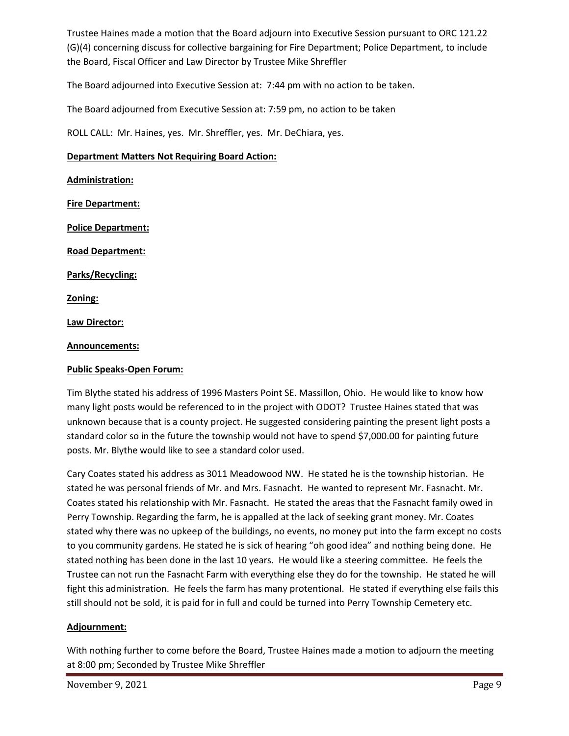Trustee Haines made a motion that the Board adjourn into Executive Session pursuant to ORC 121.22 (G)(4) concerning discuss for collective bargaining for Fire Department; Police Department, to include the Board, Fiscal Officer and Law Director by Trustee Mike Shreffler

The Board adjourned into Executive Session at: 7:44 pm with no action to be taken.

The Board adjourned from Executive Session at: 7:59 pm, no action to be taken

ROLL CALL: Mr. Haines, yes. Mr. Shreffler, yes. Mr. DeChiara, yes.

### **Department Matters Not Requiring Board Action:**

**Administration: Fire Department: Police Department: Road Department: Parks/Recycling: Zoning: Law Director: Announcements:**

#### **Public Speaks-Open Forum:**

Tim Blythe stated his address of 1996 Masters Point SE. Massillon, Ohio. He would like to know how many light posts would be referenced to in the project with ODOT? Trustee Haines stated that was unknown because that is a county project. He suggested considering painting the present light posts a standard color so in the future the township would not have to spend \$7,000.00 for painting future posts. Mr. Blythe would like to see a standard color used.

Cary Coates stated his address as 3011 Meadowood NW. He stated he is the township historian. He stated he was personal friends of Mr. and Mrs. Fasnacht. He wanted to represent Mr. Fasnacht. Mr. Coates stated his relationship with Mr. Fasnacht. He stated the areas that the Fasnacht family owed in Perry Township. Regarding the farm, he is appalled at the lack of seeking grant money. Mr. Coates stated why there was no upkeep of the buildings, no events, no money put into the farm except no costs to you community gardens. He stated he is sick of hearing "oh good idea" and nothing being done. He stated nothing has been done in the last 10 years. He would like a steering committee. He feels the Trustee can not run the Fasnacht Farm with everything else they do for the township. He stated he will fight this administration. He feels the farm has many protentional. He stated if everything else fails this still should not be sold, it is paid for in full and could be turned into Perry Township Cemetery etc.

### **Adjournment:**

With nothing further to come before the Board, Trustee Haines made a motion to adjourn the meeting at 8:00 pm; Seconded by Trustee Mike Shreffler